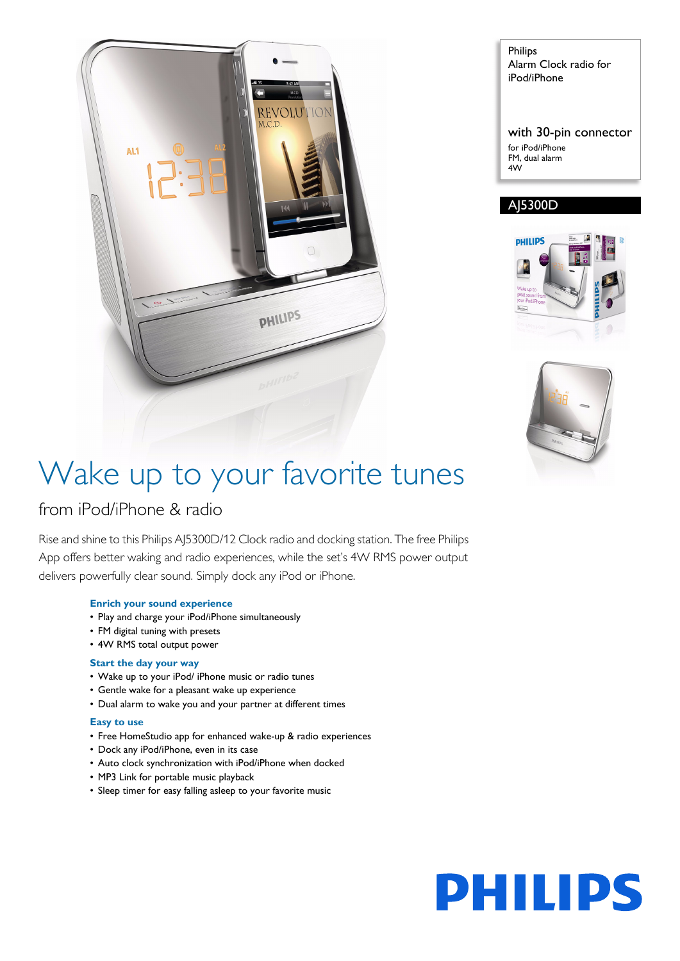

Philips Alarm Clock radio for iPod/iPhone

with 30-pin connector for iPod/iPhone FM, dual alarm 4W

### AJ5300D





# Wake up to your favorite tunes

### from iPod/iPhone & radio

Rise and shine to this Philips AJ5300D/12 Clock radio and docking station. The free Philips App offers better waking and radio experiences, while the set's 4W RMS power output delivers powerfully clear sound. Simply dock any iPod or iPhone.

### **Enrich your sound experience**

- Play and charge your iPod/iPhone simultaneously
- FM digital tuning with presets
- 4W RMS total output power

### **Start the day your way**

- Wake up to your iPod/ iPhone music or radio tunes
- Gentle wake for a pleasant wake up experience
- Dual alarm to wake you and your partner at different times

### **Easy to use**

- Free HomeStudio app for enhanced wake-up & radio experiences
- Dock any iPod/iPhone, even in its case
- Auto clock synchronization with iPod/iPhone when docked
- MP3 Link for portable music playback
- Sleep timer for easy falling asleep to your favorite music

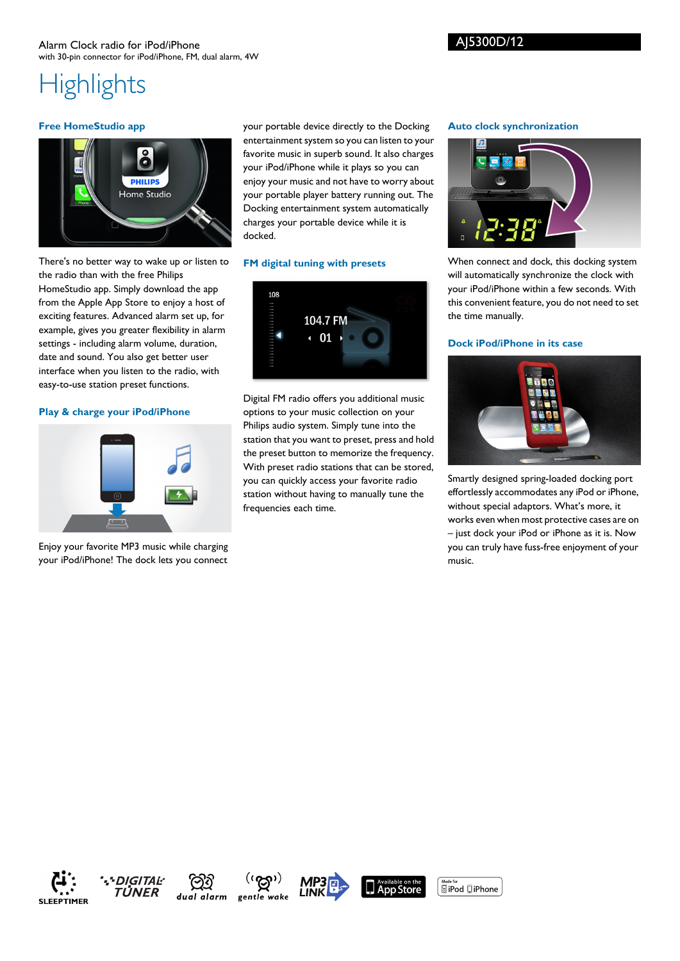## **Highlights**

### **Free HomeStudio app**



your portable device directly to the Docking entertainment system so you can listen to your favorite music in superb sound. It also charges your iPod/iPhone while it plays so you can enjoy your music and not have to worry about your portable player battery running out. The Docking entertainment system automatically charges your portable device while it is docked.

### **FM digital tuning with presets**



Digital FM radio offers you additional music options to your music collection on your Philips audio system. Simply tune into the station that you want to preset, press and hold the preset button to memorize the frequency. With preset radio stations that can be stored, you can quickly access your favorite radio station without having to manually tune the frequencies each time.

### **Auto clock synchronization**



When connect and dock, this docking system will automatically synchronize the clock with your iPod/iPhone within a few seconds. With this convenient feature, you do not need to set the time manually.

### **Dock iPod/iPhone in its case**



Smartly designed spring-loaded docking port effortlessly accommodates any iPod or iPhone, without special adaptors. What's more, it works even when most protective cases are on – just dock your iPod or iPhone as it is. Now you can truly have fuss-free enjoyment of your music.

There's no better way to wake up or listen to the radio than with the free Philips HomeStudio app. Simply download the app from the Apple App Store to enjoy a host of exciting features. Advanced alarm set up, for example, gives you greater flexibility in alarm settings - including alarm volume, duration, date and sound. You also get better user interface when you listen to the radio, with easy-to-use station preset functions.

### **Play & charge your iPod/iPhone**



Enjoy your favorite MP3 music while charging your iPod/iPhone! The dock lets you connect











 $\underbrace{\text{Made for}}$